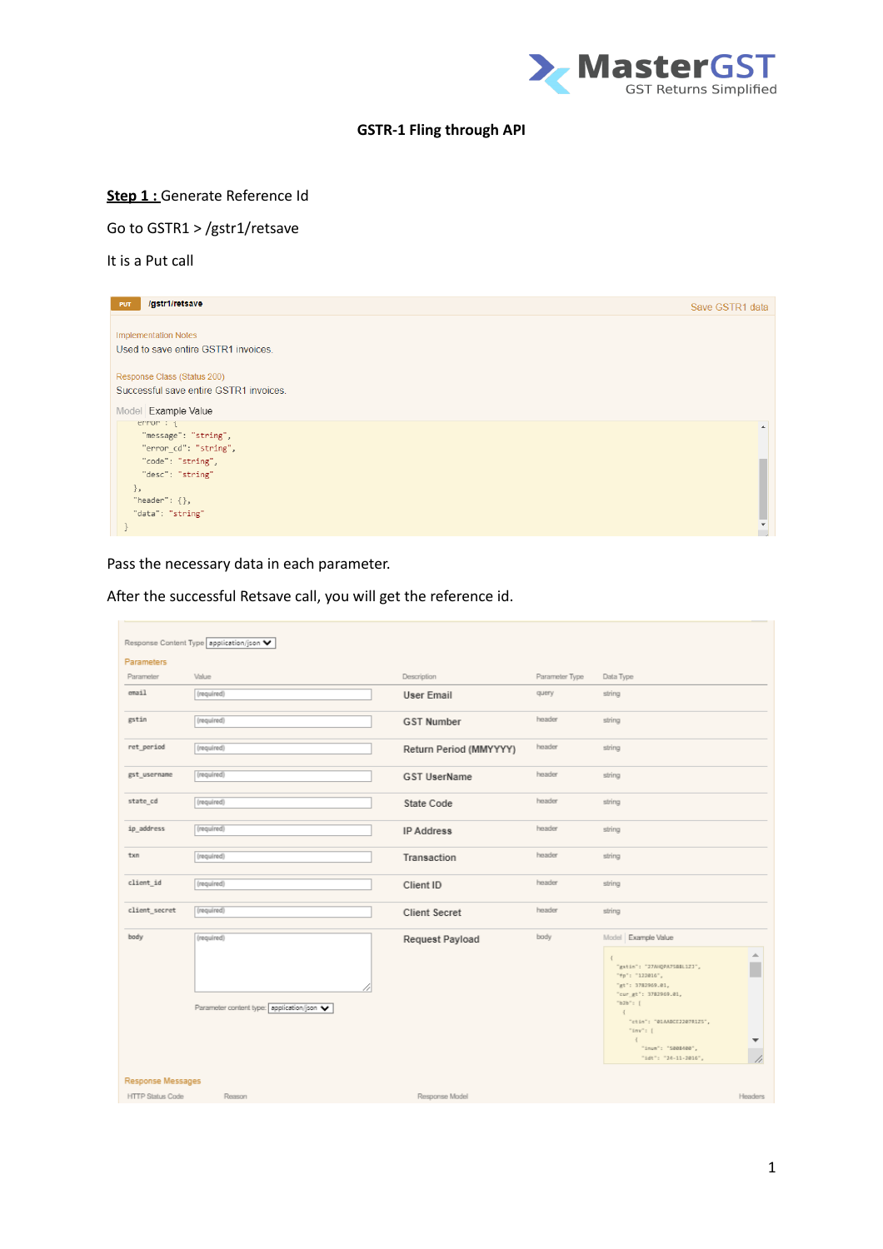

## **GSTR-1 Fling through API**

# **Step 1 :** Generate Reference Id

## Go to GSTR1 > /gstr1/retsave

It is a Put call

| <b>PUT</b> | /gstr1/retsave                         | Save GSTR1 data  |
|------------|----------------------------------------|------------------|
|            |                                        |                  |
|            | <b>Implementation Notes</b>            |                  |
|            | Used to save entire GSTR1 invoices.    |                  |
|            |                                        |                  |
|            |                                        |                  |
|            | Response Class (Status 200)            |                  |
|            | Successful save entire GSTR1 invoices. |                  |
|            | Model Example Value                    |                  |
|            | error : {                              | $\blacktriangle$ |
|            | "message": "string",                   |                  |
|            | "error_cd": "string",                  |                  |
|            | "code": "string",                      |                  |
|            | "desc": "string"                       |                  |
| $\}$ ,     |                                        |                  |
|            | "header": $\{\}$ ,                     |                  |
|            | "data": "string"                       |                  |
|            |                                        |                  |

Pass the necessary data in each parameter.

|                         | Response Content Type application/json V               |                        |                |                                                                                                                                                                                                                                                                                                                               |
|-------------------------|--------------------------------------------------------|------------------------|----------------|-------------------------------------------------------------------------------------------------------------------------------------------------------------------------------------------------------------------------------------------------------------------------------------------------------------------------------|
| <b>Parameters</b>       |                                                        |                        |                |                                                                                                                                                                                                                                                                                                                               |
| Parameter               | Value                                                  | Description            | Parameter Type | Data Type                                                                                                                                                                                                                                                                                                                     |
| email                   | (required)                                             | <b>User Email</b>      | query          | string                                                                                                                                                                                                                                                                                                                        |
| gstin                   | (required)                                             | <b>GST Number</b>      | header         | string                                                                                                                                                                                                                                                                                                                        |
| ret_period              | (required)                                             | Return Period (MMYYYY) | header         | string                                                                                                                                                                                                                                                                                                                        |
| gst_username            | (required)                                             | <b>GST UserName</b>    | header         | string                                                                                                                                                                                                                                                                                                                        |
| state cd                | (required)                                             | State Code             | header         | string                                                                                                                                                                                                                                                                                                                        |
| ip_address              | (required)                                             | <b>IP Address</b>      | header         | string                                                                                                                                                                                                                                                                                                                        |
| txn                     | (required)                                             | Transaction            | header         | string                                                                                                                                                                                                                                                                                                                        |
| client id               | (required)                                             | Client ID              | header         | string                                                                                                                                                                                                                                                                                                                        |
| client_secret           | (required)                                             | <b>Client Secret</b>   | header         | string                                                                                                                                                                                                                                                                                                                        |
| body                    | (required)<br>Parameter content type: application/json | Request Payload        | body           | Model Example Value<br>$\Delta \omega$<br>$\overline{1}$<br>"gxtin": "27AHQPA7SBBL1Z3",<br>"fp": "122016",<br>"gt": 3782969.01,<br>"cur_gt": 3782969.01,<br>"b2b": $[$<br>$\mathbf{I}$<br>"ctin": "@1AADCE32@7R1ZS",<br>"inv": $[$<br>$\mathcal{L}$<br>$\overline{\phantom{a}}$<br>"inum": "S008400",<br>"idt": "24-11-2016", |
| Response Messages       |                                                        |                        |                |                                                                                                                                                                                                                                                                                                                               |
| <b>HTTP Status Code</b> | Reason                                                 | Response Model         |                | Headers                                                                                                                                                                                                                                                                                                                       |

After the successful Retsave call, you will get the reference id.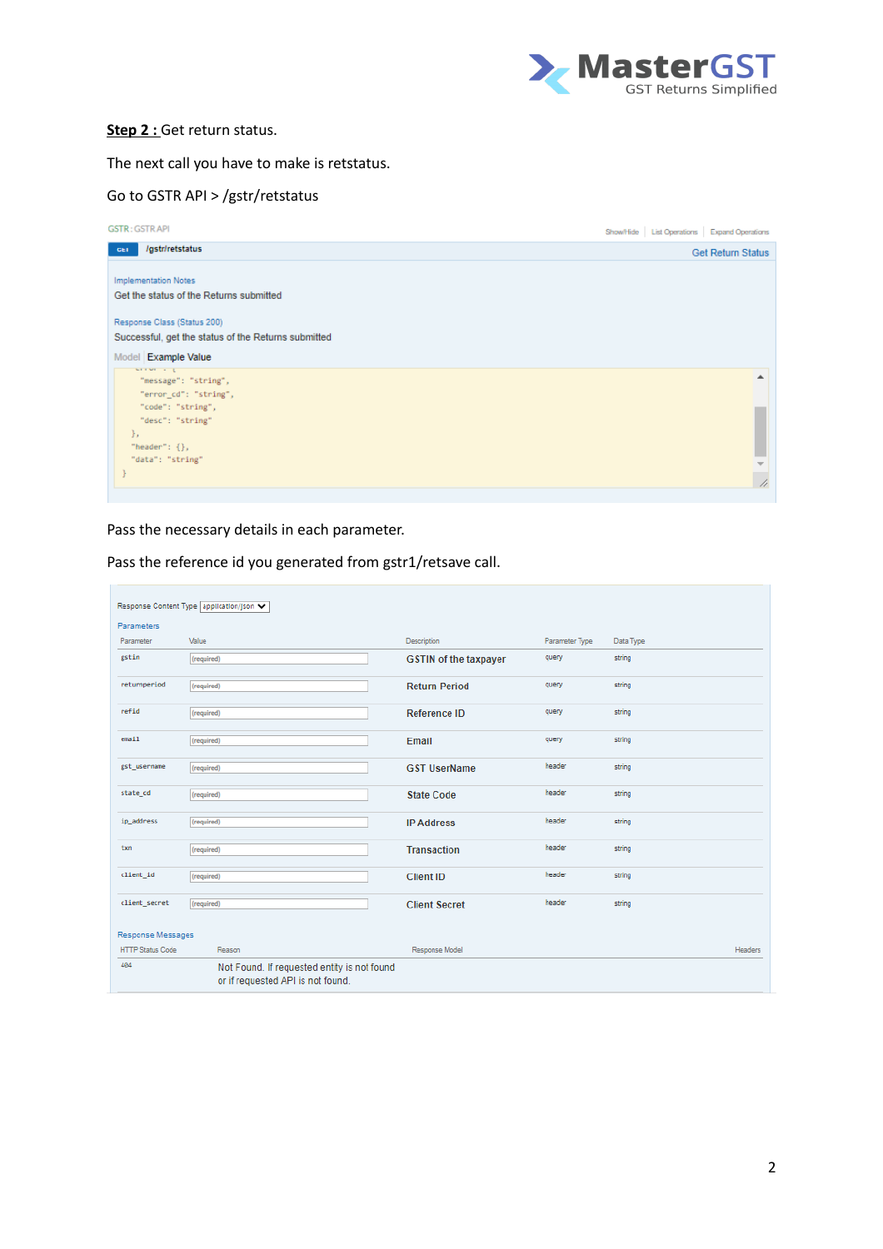

#### **Step 2 :** Get return status.

The next call you have to make is retstatus.

## Go to GSTR API > /gstr/retstatus

| <b>GSTR: GSTRAPI</b>                                                               | Show/Hide List Operations Expand Operations |                          |
|------------------------------------------------------------------------------------|---------------------------------------------|--------------------------|
| <i>Igstriretstatus</i><br>GET                                                      |                                             | <b>Get Return Status</b> |
| <b>Implementation Notes</b><br>Get the status of the Returns submitted             |                                             |                          |
| Response Class (Status 200)<br>Successful, get the status of the Returns submitted |                                             |                          |
| Model Example Value                                                                |                                             |                          |
| service of<br>"message": "string",                                                 |                                             |                          |
| "error_cd": "string",                                                              |                                             |                          |
| "code": "string",                                                                  |                                             |                          |
| "desc": "string"                                                                   |                                             |                          |
| Ъ.                                                                                 |                                             |                          |
| "header": $\{\}$ ,<br>"data": "string"                                             |                                             |                          |
|                                                                                    |                                             |                          |
|                                                                                    |                                             | 4                        |

Pass the necessary details in each parameter.

|                         | Response Content Type application/json V                                         |                              |                |           |         |
|-------------------------|----------------------------------------------------------------------------------|------------------------------|----------------|-----------|---------|
| <b>Parameters</b>       |                                                                                  |                              |                |           |         |
| Parameter               | Value                                                                            | <b>Description</b>           | Parameter Type | Data Type |         |
| gstin                   | (required)                                                                       | <b>GSTIN of the taxpayer</b> | query          | string    |         |
| returnperiod            | (required)                                                                       | <b>Return Period</b>         | query          | string    |         |
| refid                   | (required)                                                                       | Reference ID                 | query          | string    |         |
| email                   | (required)                                                                       | Email                        | query          | string    |         |
| gst_username            | (required)                                                                       | <b>GST UserName</b>          | header         | string    |         |
| state_cd                | (required)                                                                       | <b>State Code</b>            | header         | string    |         |
| ip address              | (required)                                                                       | <b>IP Address</b>            | header         | string    |         |
| txn                     | (required)                                                                       | <b>Transaction</b>           | header         | string    |         |
| client id               | (required)                                                                       | <b>Client ID</b>             | header         | string    |         |
| client_secret           | (required)                                                                       | <b>Client Secret</b>         | header         | string    |         |
| Response Messages       |                                                                                  |                              |                |           |         |
| <b>HTTP Status Code</b> | Reason                                                                           | Response Model               |                |           | Headers |
| 404                     | Not Found. If requested entity is not found<br>or if requested API is not found. |                              |                |           |         |

Pass the reference id you generated from gstr1/retsave call.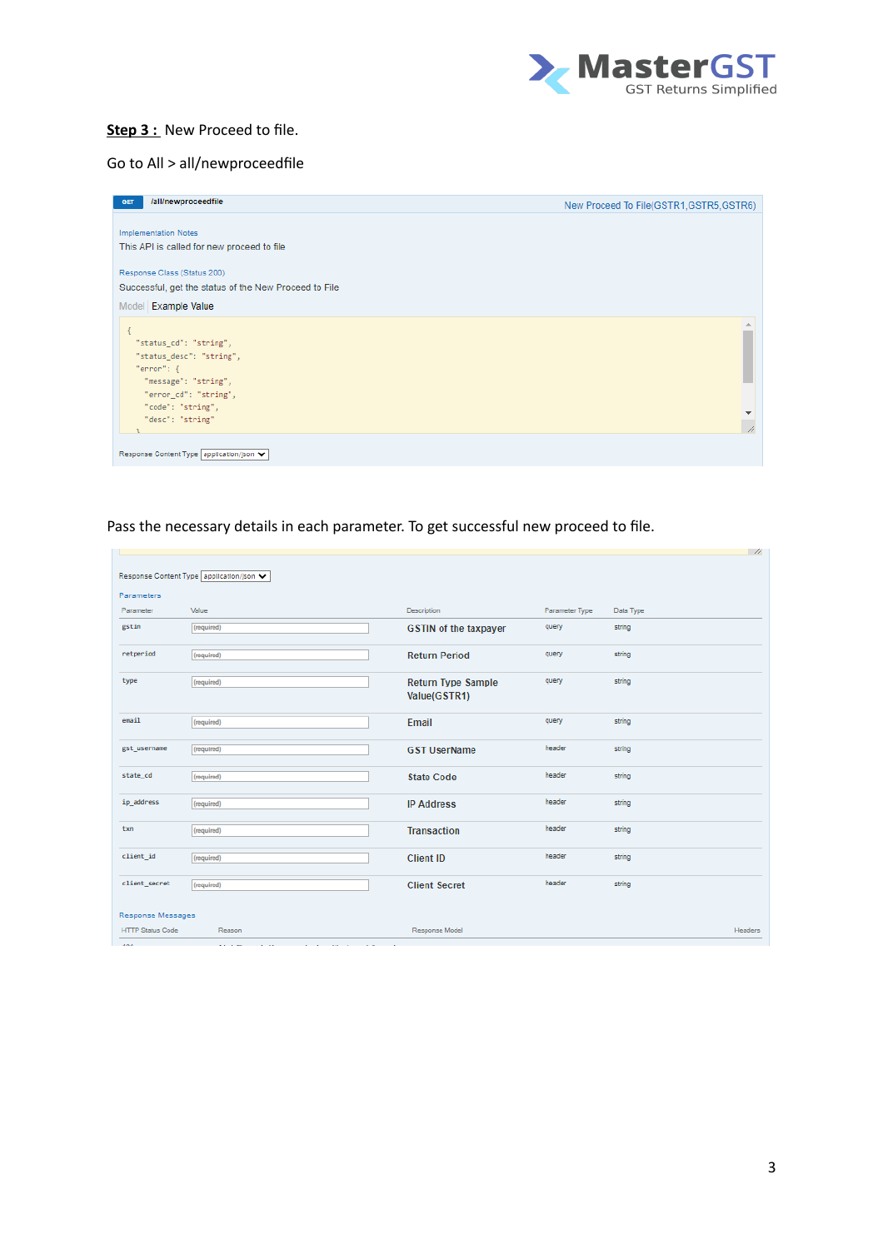

#### **Step 3 :** New Proceed to file.

## Go to All > all/newproceedfile

| <b>Implementation Notes</b>                           |              |
|-------------------------------------------------------|--------------|
|                                                       |              |
|                                                       |              |
| This API is called for new proceed to file            |              |
|                                                       |              |
| Response Class (Status 200)                           |              |
| Successful, get the status of the New Proceed to File |              |
| Model Example Value                                   |              |
|                                                       |              |
|                                                       |              |
| "status_cd": "string",                                |              |
| "status_desc": "string",                              |              |
| "error": f                                            |              |
| "message": "string",                                  |              |
| "error_cd": "string",                                 |              |
| "code": "string",                                     | $\mathbf{v}$ |
| "desc": "string"                                      | A.           |
|                                                       |              |
|                                                       |              |
| Response Content Type   application/json ↓            |              |

#### Pass the necessary details in each parameter. To get successful new proceed to file.

|                         |                                                                                                                               |                                           |                |           | $\frac{\pi}{2}$ |
|-------------------------|-------------------------------------------------------------------------------------------------------------------------------|-------------------------------------------|----------------|-----------|-----------------|
|                         | Response Content Type application/json ↓                                                                                      |                                           |                |           |                 |
| Parameters              |                                                                                                                               |                                           |                |           |                 |
| Parameter               | Value                                                                                                                         | Description                               | Parameter Type | Data Type |                 |
| gstin                   | (required)                                                                                                                    | <b>GSTIN of the taxpayer</b>              | query          | string    |                 |
| retperiod               | (required)                                                                                                                    | <b>Return Period</b>                      | query          | string    |                 |
| type                    | (required)                                                                                                                    | <b>Return Type Sample</b><br>Value(GSTR1) | query          | string    |                 |
| email                   | (required)                                                                                                                    | Email                                     | query          | string    |                 |
| gst_username            | (required)                                                                                                                    | <b>GST UserName</b>                       | header         | string    |                 |
| state cd                | (required)                                                                                                                    | <b>State Code</b>                         | header         | string    |                 |
| ip address              | (required)                                                                                                                    | <b>IP Address</b>                         | header         | string    |                 |
| txn                     | (required)                                                                                                                    | <b>Transaction</b>                        | header         | string    |                 |
| client id               | (required)                                                                                                                    | <b>Client ID</b>                          | header         | string    |                 |
| client_secret           | (required)                                                                                                                    | <b>Client Secret</b>                      | header         | string    |                 |
| Response Messages       |                                                                                                                               |                                           |                |           |                 |
| <b>HTTP Status Code</b> | Reason                                                                                                                        | Response Model                            |                |           | <b>Headers</b>  |
| <b>AGA</b>              | All of the<br>$\mathbf{r} = \mathbf{r} \cdot \mathbf{r}$<br><b>COL</b><br>$\sim$<br>$\sim$ $\sim$<br><b>Contract</b><br>a car |                                           |                |           |                 |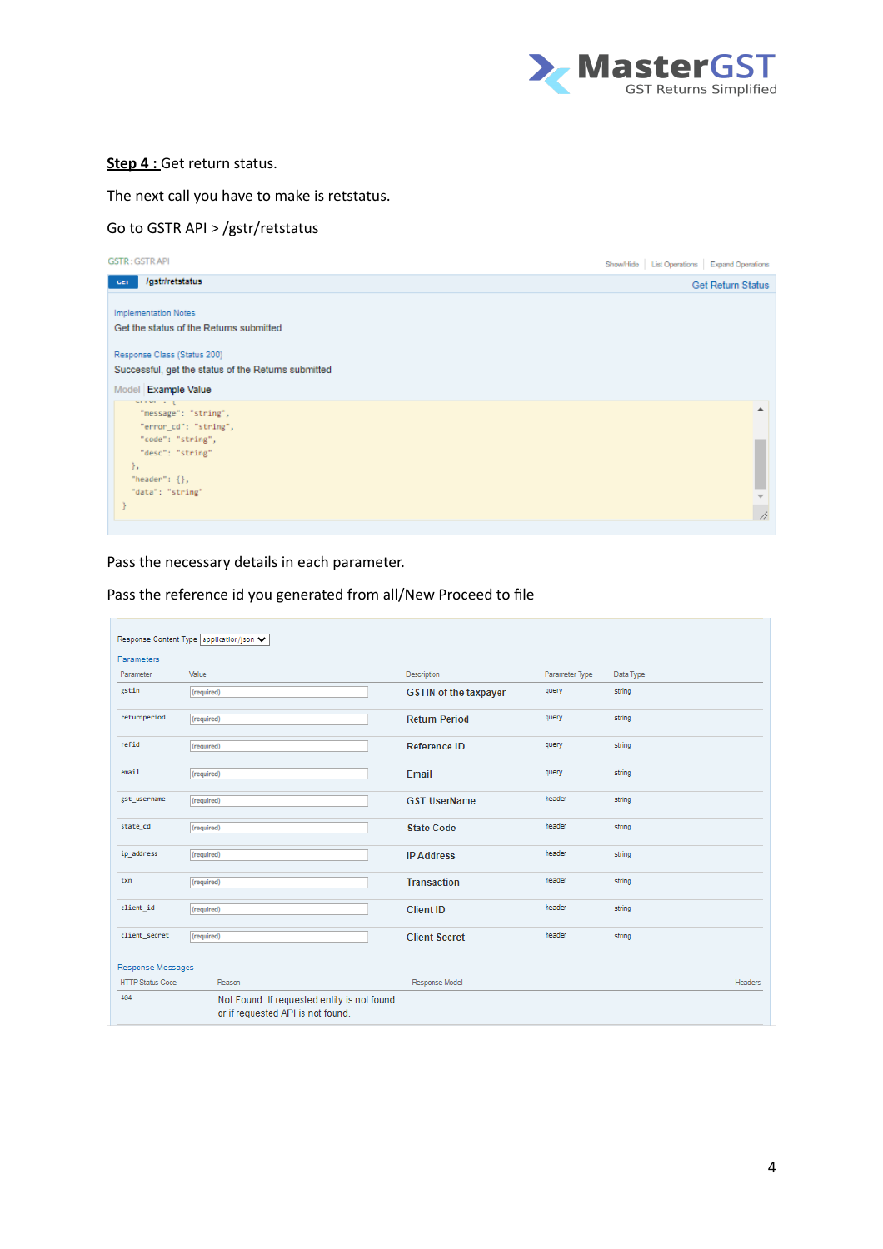

#### **Step 4 : Get return status.**

#### The next call you have to make is retstatus.

## Go to GSTR API > /gstr/retstatus

| <b>GSTR: GSTRAPI</b>                                | Show/Hide List Operations Expand Operations |                          |
|-----------------------------------------------------|---------------------------------------------|--------------------------|
| /gstr/retstatus<br>GET                              |                                             | <b>Get Return Status</b> |
| <b>Implementation Notes</b>                         |                                             |                          |
| Get the status of the Returns submitted             |                                             |                          |
| Response Class (Status 200)                         |                                             |                          |
| Successful, get the status of the Returns submitted |                                             |                          |
| Model Example Value                                 |                                             |                          |
| service of<br>"message": "string",                  |                                             |                          |
| "error_cd": "string",                               |                                             |                          |
| "code": "string",                                   |                                             |                          |
| "desc": "string"                                    |                                             |                          |
| },                                                  |                                             |                          |
| "header": $\{\}$ ,<br>"data": "string"              |                                             |                          |
|                                                     |                                             |                          |
|                                                     |                                             | h                        |

Pass the necessary details in each parameter.

|                         | Response Content Type application/json ↓                                         |                              |                |           |                |
|-------------------------|----------------------------------------------------------------------------------|------------------------------|----------------|-----------|----------------|
| <b>Parameters</b>       |                                                                                  |                              |                |           |                |
| Parameter               | Value                                                                            | Description                  | Parameter Type | Data Type |                |
| gstin                   | (required)                                                                       | <b>GSTIN of the taxpayer</b> | query          | string    |                |
| returnperiod            | (required)                                                                       | <b>Return Period</b>         | query          | string    |                |
| refid                   | (required)                                                                       | Reference ID                 | query          | string    |                |
| email                   | (required)                                                                       | Email                        | query          | string    |                |
| gst_username            | (required)                                                                       | <b>GST UserName</b>          | header         | string    |                |
| state_cd                | (required)                                                                       | <b>State Code</b>            | header         | string    |                |
| ip address              | (required)                                                                       | <b>IP Address</b>            | header         | string    |                |
| txn                     | (required)                                                                       | <b>Transaction</b>           | header         | string    |                |
| client id               | (required)                                                                       | <b>Client ID</b>             | header         | string    |                |
| client secret           | (required)                                                                       | <b>Client Secret</b>         | header         | string    |                |
| Response Messages       |                                                                                  |                              |                |           |                |
| <b>HTTP Status Code</b> | Reason                                                                           | Response Model               |                |           | <b>Headers</b> |
| 404                     | Not Found. If requested entity is not found<br>or if requested API is not found. |                              |                |           |                |

Pass the reference id you generated from all/New Proceed to file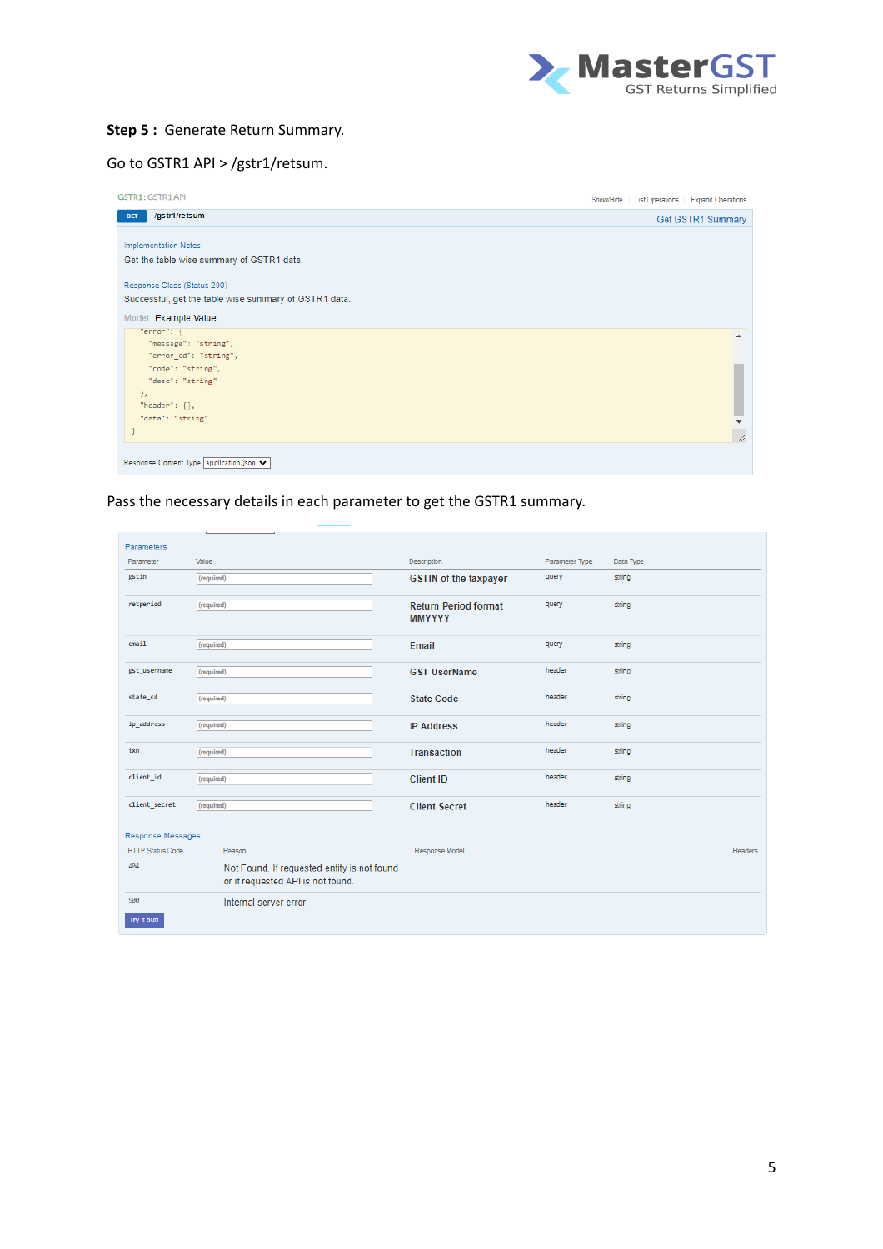

#### **Step 5 :** Generate Return Summary.

# Go to GSTR1 API > /gstr1/retsum.

| GSTR1: GSTR1 API                                      |  | Show/Hide List Operations Expand Operations |
|-------------------------------------------------------|--|---------------------------------------------|
| /gstr1/retsum<br><b>GET</b>                           |  | Get GSTR1 Summary                           |
| <b>Implementation Notes</b>                           |  |                                             |
| Get the table wise summary of GSTR1 data.             |  |                                             |
| Response Class (Status 200)                           |  |                                             |
| Successful, get the table wise summary of GSTR1 data. |  |                                             |
| Model Example Value                                   |  |                                             |
| "ennon": {<br>"message": "string",                    |  |                                             |
| "ennon_cd": "string",                                 |  |                                             |
| "code": "string",                                     |  |                                             |
| "desc": "string"<br>Η.                                |  |                                             |
| "header": $\{\}$ ,                                    |  |                                             |
| "data": "string"                                      |  |                                             |
|                                                       |  | A.                                          |
| Response Content Type   application/json ♥            |  |                                             |
|                                                       |  |                                             |

## Pass the necessary details in each parameter to get the GSTR1 summary.

| Parameters              |                                             |                              |                |           |                |
|-------------------------|---------------------------------------------|------------------------------|----------------|-----------|----------------|
| Parameter               | Value                                       | Description                  | Parameter Type | Data Type |                |
| gstin                   | (required)                                  | <b>GSTIN of the taxpayer</b> | query          | string    |                |
|                         |                                             |                              |                |           |                |
| retperiod               | (required)                                  | <b>Return Period format</b>  | query          | string    |                |
|                         |                                             | <b>MMYYYY</b>                |                |           |                |
| email                   | (required)                                  | Email                        | query          | string    |                |
|                         |                                             |                              |                |           |                |
| gst_username            | (required)                                  | <b>GST UserName</b>          | header         | string    |                |
|                         |                                             |                              |                |           |                |
| state cd                | (required)                                  | <b>State Code</b>            | header         | string    |                |
| ip_address              |                                             |                              | header         | string    |                |
|                         | (required)                                  | <b>IP Address</b>            |                |           |                |
| txn                     | (required)                                  | <b>Transaction</b>           | header         | string    |                |
|                         |                                             |                              |                |           |                |
| client_id               | (required)                                  | <b>Client ID</b>             | header         | string    |                |
|                         |                                             |                              |                |           |                |
| client secret           | (required)                                  | <b>Client Secret</b>         | header         | string    |                |
|                         |                                             |                              |                |           |                |
| Response Messages       |                                             |                              |                |           |                |
| <b>HTTP Status Code</b> | Reason                                      | Response Model               |                |           | <b>Headers</b> |
| 404                     | Not Found. If requested entity is not found |                              |                |           |                |
|                         | or if requested API is not found.           |                              |                |           |                |
| 500                     | Internal server error                       |                              |                |           |                |
| Try It out!             |                                             |                              |                |           |                |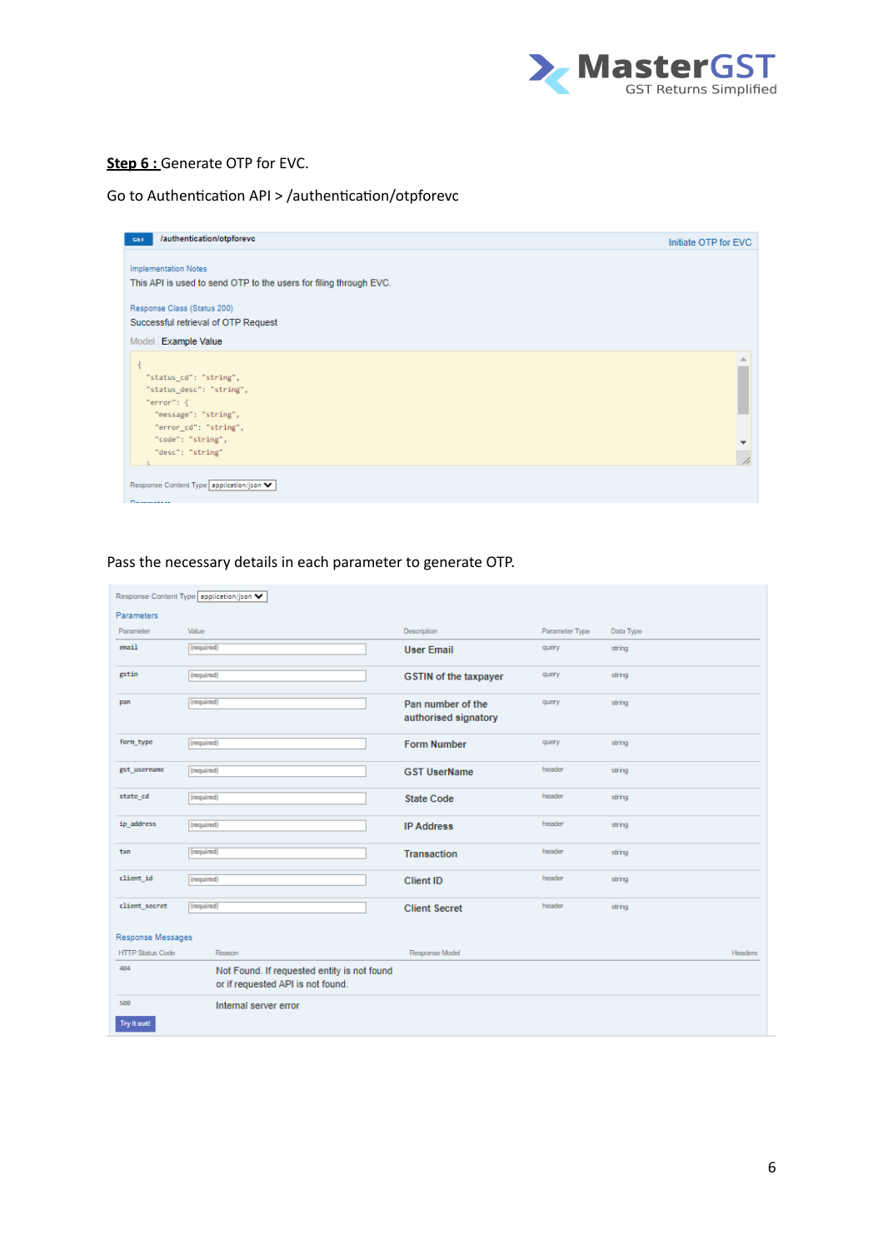

## **Step 6 : Generate OTP for EVC.**

# Go to Authentication API > /authentication/otpforevc

| /authentication/otpforevc<br><b>GET</b>                           | Initiate OTP for EVC |
|-------------------------------------------------------------------|----------------------|
| <b>Implementation Notes</b>                                       |                      |
| This API is used to send OTP to the users for filing through EVC. |                      |
| Response Class (Status 200)                                       |                      |
| Successful retrieval of OTP Request                               |                      |
| Model Example Value                                               |                      |
|                                                                   |                      |
| "status_cd": "string",                                            |                      |
| "status_desc": "string",                                          |                      |
| "error": $\{$                                                     |                      |
| "message": "string",                                              |                      |
| "error_cd": "string",                                             |                      |
| "code": "string",                                                 | ▼                    |
| "desc": "string"                                                  |                      |
|                                                                   | 4                    |

## Pass the necessary details in each parameter to generate OTP.

|                         | Response Content Type   application/json                                         |                                           |                |           |         |
|-------------------------|----------------------------------------------------------------------------------|-------------------------------------------|----------------|-----------|---------|
| <b>Parameters</b>       |                                                                                  |                                           |                |           |         |
| Parameter               | Value                                                                            | Description                               | Parameter Type | Data Type |         |
| email                   | (required)                                                                       | <b>User Email</b>                         | query          | string    |         |
| gstin                   | (required)                                                                       | <b>GSTIN</b> of the taxpayer              | query          | string    |         |
| pan                     | (required)                                                                       | Pan number of the<br>authorised signatory | query          | string    |         |
| form_type               | (required)                                                                       | <b>Form Number</b>                        | query          | string    |         |
| gst usernane            | (required)                                                                       | <b>GST UserName</b>                       | header         | string    |         |
| state_cd                | (required)                                                                       | <b>State Code</b>                         | header         | string    |         |
| ip_address              | (required)                                                                       | <b>IP Address</b>                         | header         | string    |         |
| txn                     | (required)                                                                       | <b>Transaction</b>                        | header         | string    |         |
| client id               | (required)                                                                       | <b>Client ID</b>                          | header         | string    |         |
| client secret           | (required)                                                                       | <b>Client Secret</b>                      | header         | string    |         |
| Response Messages       |                                                                                  |                                           |                |           |         |
| <b>HTTP Status Code</b> | Reason                                                                           | Response Model                            |                |           | Headers |
| 484                     | Not Found. If requested entity is not found<br>or if requested API is not found. |                                           |                |           |         |
| 500                     | Internal server error                                                            |                                           |                |           |         |
| Try it out!             |                                                                                  |                                           |                |           |         |